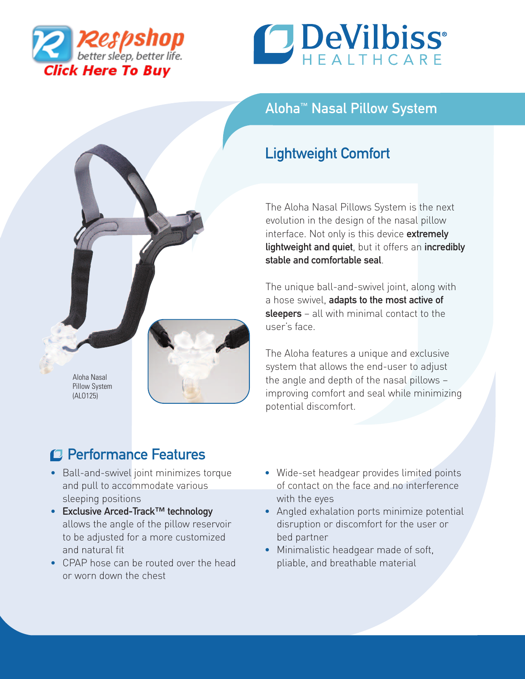



## Aloha™ Nasal Pillow System

## Lightweight Comfort

The Aloha Nasal Pillows System is the next evolution in the design of the nasal pillow interface. Not only is this device extremely lightweight and quiet, but it offers an incredibly stable and comfortable seal.

The unique ball-and-swivel joint, along with a hose swivel, adapts to the most active of sleepers – all with minimal contact to the user's face.

The Aloha features a unique and exclusive system that allows the end-user to adjust the angle and depth of the nasal pillows – improving comfort and seal while minimizing potential discomfort.

# Performance Features

Aloha Nasal Pillow System (ALO125)

- Ball-and-swivel joint minimizes torque and pull to accommodate various sleeping positions
- Exclusive Arced-Track™ technology allows the angle of the pillow reservoir to be adjusted for a more customized and natural fit
- CPAP hose can be routed over the head or worn down the chest
- Wide-set headgear provides limited points of contact on the face and no interference with the eyes
- Angled exhalation ports minimize potential disruption or discomfort for the user or bed partner
- Minimalistic headgear made of soft, pliable, and breathable material